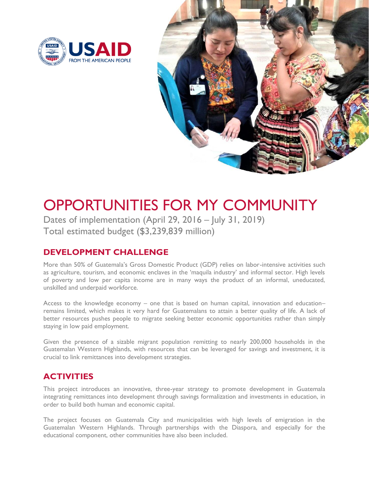



# OPPORTUNITIES FOR MY COMMUNITY

Dates of implementation (April 29, 2016 – July 31, 2019) Total estimated budget (\$3,239,839 million)

## **DEVELOPMENT CHALLENGE**

More than 50% of Guatemala's Gross Domestic Product (GDP) relies on labor-intensive activities such as agriculture, tourism, and economic enclaves in the 'maquila industry' and informal sector. High levels of poverty and low per capita income are in many ways the product of an informal, uneducated, unskilled and underpaid workforce.

Access to the knowledge economy – one that is based on human capital, innovation and education– remains limited, which makes it very hard for Guatemalans to attain a better quality of life. A lack of better resources pushes people to migrate seeking better economic opportunities rather than simply staying in low paid employment.

Given the presence of a sizable migrant population remitting to nearly 200,000 households in the Guatemalan Western Highlands, with resources that can be leveraged for savings and investment, it is crucial to link remittances into development strategies.

## **ACTIVITIES**

This project introduces an innovative, three-year strategy to promote development in Guatemala integrating remittances into development through savings formalization and investments in education, in order to build both human and economic capital.

The project focuses on Guatemala City and municipalities with high levels of emigration in the Guatemalan Western Highlands. Through partnerships with the Diaspora, and especially for the educational component, other communities have also been included.